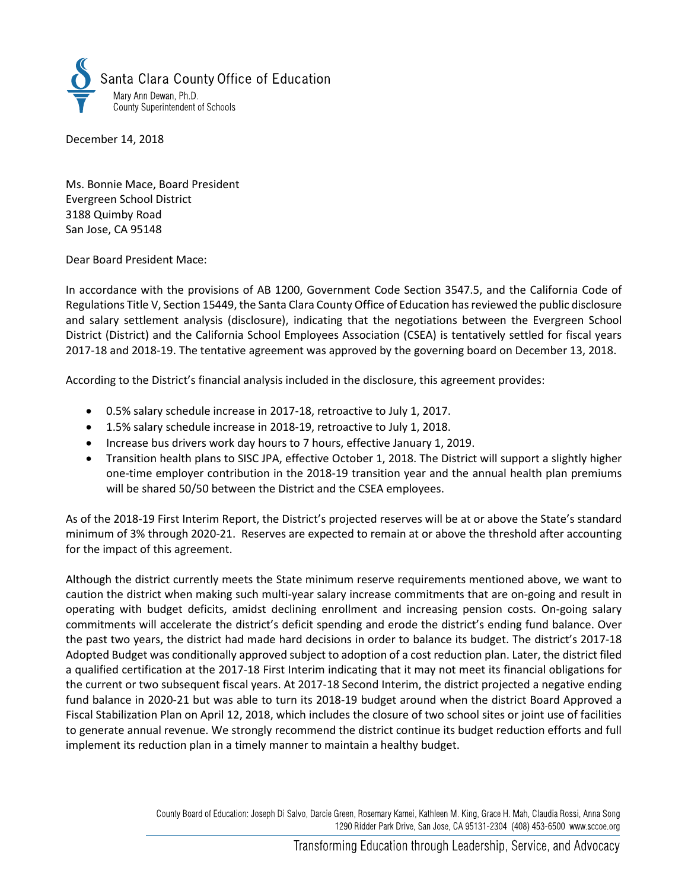

December 14, 2018

Ms. Bonnie Mace, Board President Evergreen School District 3188 Quimby Road San Jose, CA 95148

Dear Board President Mace:

In accordance with the provisions of AB 1200, Government Code Section 3547.5, and the California Code of Regulations Title V, Section 15449, the Santa Clara County Office of Education has reviewed the public disclosure and salary settlement analysis (disclosure), indicating that the negotiations between the Evergreen School District (District) and the California School Employees Association (CSEA) is tentatively settled for fiscal years 2017-18 and 2018-19. The tentative agreement was approved by the governing board on December 13, 2018.

According to the District's financial analysis included in the disclosure, this agreement provides:

- 0.5% salary schedule increase in 2017-18, retroactive to July 1, 2017.
- 1.5% salary schedule increase in 2018-19, retroactive to July 1, 2018.
- Increase bus drivers work day hours to 7 hours, effective January 1, 2019.
- Transition health plans to SISC JPA, effective October 1, 2018. The District will support a slightly higher one-time employer contribution in the 2018-19 transition year and the annual health plan premiums will be shared 50/50 between the District and the CSEA employees.

As of the 2018-19 First Interim Report, the District's projected reserves will be at or above the State's standard minimum of 3% through 2020-21. Reserves are expected to remain at or above the threshold after accounting for the impact of this agreement.

Although the district currently meets the State minimum reserve requirements mentioned above, we want to caution the district when making such multi-year salary increase commitments that are on-going and result in operating with budget deficits, amidst declining enrollment and increasing pension costs. On-going salary commitments will accelerate the district's deficit spending and erode the district's ending fund balance. Over the past two years, the district had made hard decisions in order to balance its budget. The district's 2017-18 Adopted Budget was conditionally approved subject to adoption of a cost reduction plan. Later, the district filed a qualified certification at the 2017-18 First Interim indicating that it may not meet its financial obligations for the current or two subsequent fiscal years. At 2017-18 Second Interim, the district projected a negative ending fund balance in 2020-21 but was able to turn its 2018-19 budget around when the district Board Approved a Fiscal Stabilization Plan on April 12, 2018, which includes the closure of two school sites or joint use of facilities to generate annual revenue. We strongly recommend the district continue its budget reduction efforts and full implement its reduction plan in a timely manner to maintain a healthy budget.

> County Board of Education: Joseph Di Salvo, Darcie Green, Rosemary Kamei, Kathleen M. King, Grace H. Mah, Claudia Rossi, Anna Song 1290 Ridder Park Drive, San Jose, CA 95131-2304 (408) 453-6500 www.sccoe.org